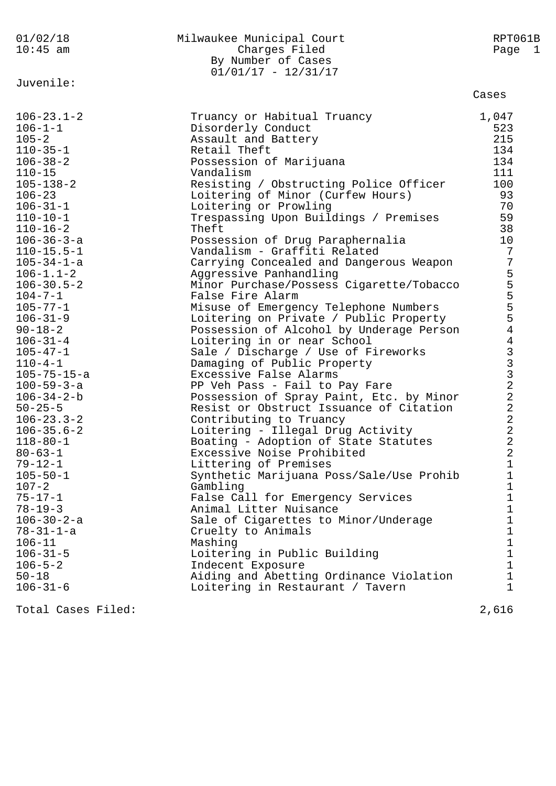| 01/02/18<br>$10:45$ am                                                                                                                                                                                                                                                                                                                                                                                                                                                                                                                                                                                                                                                                                                                                                                                | Milwaukee Municipal Court<br>Charges Filed<br>By Number of Cases<br>$01/01/17 - 12/31/17$                                                                                                                                                                                                                                                                                                                                                                                                                                                                                                                                                                                                                                                                                                                                                                                                                                                                                                                                                                                                                                                                                                                                                                                                                                                                                                     | RPT061B<br>Page 1                                                                                                                                                                                                                            |
|-------------------------------------------------------------------------------------------------------------------------------------------------------------------------------------------------------------------------------------------------------------------------------------------------------------------------------------------------------------------------------------------------------------------------------------------------------------------------------------------------------------------------------------------------------------------------------------------------------------------------------------------------------------------------------------------------------------------------------------------------------------------------------------------------------|-----------------------------------------------------------------------------------------------------------------------------------------------------------------------------------------------------------------------------------------------------------------------------------------------------------------------------------------------------------------------------------------------------------------------------------------------------------------------------------------------------------------------------------------------------------------------------------------------------------------------------------------------------------------------------------------------------------------------------------------------------------------------------------------------------------------------------------------------------------------------------------------------------------------------------------------------------------------------------------------------------------------------------------------------------------------------------------------------------------------------------------------------------------------------------------------------------------------------------------------------------------------------------------------------------------------------------------------------------------------------------------------------|----------------------------------------------------------------------------------------------------------------------------------------------------------------------------------------------------------------------------------------------|
| Juvenile:                                                                                                                                                                                                                                                                                                                                                                                                                                                                                                                                                                                                                                                                                                                                                                                             |                                                                                                                                                                                                                                                                                                                                                                                                                                                                                                                                                                                                                                                                                                                                                                                                                                                                                                                                                                                                                                                                                                                                                                                                                                                                                                                                                                                               | Cases                                                                                                                                                                                                                                        |
| $106 - 23.1 - 2$<br>$106 - 1 - 1$<br>$105 - 2$<br>$110 - 35 - 1$<br>$106 - 38 - 2$<br>$110 - 15$<br>$105 - 138 - 2$<br>$106 - 23$<br>$106 - 31 - 1$<br>$110 - 10 - 1$<br>$110 - 16 - 2$<br>$106 - 36 - 3 - a$<br>$110 - 15.5 - 1$<br>$105 - 34 - 1 - a$<br>$106 - 1.1 - 2$<br>$106 - 30.5 - 2$<br>$104 - 7 - 1$<br>$105 - 77 - 1$<br>$106 - 31 - 9$<br>$90 - 18 - 2$<br>$106 - 31 - 4$<br>$105 - 47 - 1$<br>$110 - 4 - 1$<br>$105 - 75 - 15 - a$<br>$100 - 59 - 3 - a$<br>$106 - 34 - 2 - b$<br>$50 - 25 - 5$<br>$106 - 23.3 - 2$<br>$106 - 35.6 - 2$<br>$118 - 80 - 1$<br>$80 - 63 - 1$<br>$79 - 12 - 1$<br>$105 - 50 - 1$<br>$107 - 2$<br>$75 - 17 - 1$<br>$78 - 19 - 3$<br>$106 - 30 - 2 - a$<br>$78 - 31 - 1 - a$<br>$106 - 11$<br>$106 - 31 - 5$<br>$106 - 5 - 2$<br>$50 - 18$<br>$106 - 31 - 6$ | Truancy or Habitual Truancy<br>Disorderly Conduct<br>Assault and Battery<br>Retail Theft<br>Possession of Marijuana<br>Vandalism<br>Resisting / Obstructing Police Officer<br>Loitering of Minor (Curfew Hours)<br>Loitering or Prowling<br>Trespassing Upon Buildings / Premises<br>Theft<br>Possession of Drug Paraphernalia<br>Vandalism - Graffiti Related<br>Carrying Concealed and Dangerous Weapon<br>Aggressive Panhandling<br>Minor Purchase/Possess Cigarette/Tobacco<br>False Fire Alarm<br>Misuse of Emergency Telephone Numbers<br>Loitering on Private / Public Property<br>Possession of Alcohol by Underage Person<br>Loitering in or near School<br>Sale / Discharge / Use of Fireworks<br>Damaging of Public Property<br>Excessive False Alarms<br>PP Veh Pass - Fail to Pay Fare<br>Possession of Spray Paint, Etc. by Minor<br>Resist or Obstruct Issuance of Citation<br>Contributing to Truancy<br>Loitering - Illegal Drug Activity<br>Boating - Adoption of State Statutes<br>Excessive Noise Prohibited<br>Littering of Premises<br>Synthetic Marijuana Poss/Sale/Use Prohib<br>Gambling<br>False Call for Emergency Services<br>Animal Litter Nuisance<br>Sale of Cigarettes to Minor/Underage<br>Cruelty to Animals<br>Mashing<br>Loitering in Public Building<br>Indecent Exposure<br>Aiding and Abetting Ordinance Violation<br>Loitering in Restaurant / Tavern | 1,047<br>523<br>215<br>134<br>134<br>111<br>100<br>93<br>70<br>59<br>38<br>10<br>$\overline{7}$<br>755554<br>433322<br>$\sqrt{2}$<br>$\sqrt{2}$<br>$\overline{2}$<br>2<br>1<br>1<br>1<br>1<br>1<br>1<br>1<br>$\mathbf 1$<br>1<br>1<br>1<br>1 |
| Total Cases Filed:                                                                                                                                                                                                                                                                                                                                                                                                                                                                                                                                                                                                                                                                                                                                                                                    |                                                                                                                                                                                                                                                                                                                                                                                                                                                                                                                                                                                                                                                                                                                                                                                                                                                                                                                                                                                                                                                                                                                                                                                                                                                                                                                                                                                               | 2,616                                                                                                                                                                                                                                        |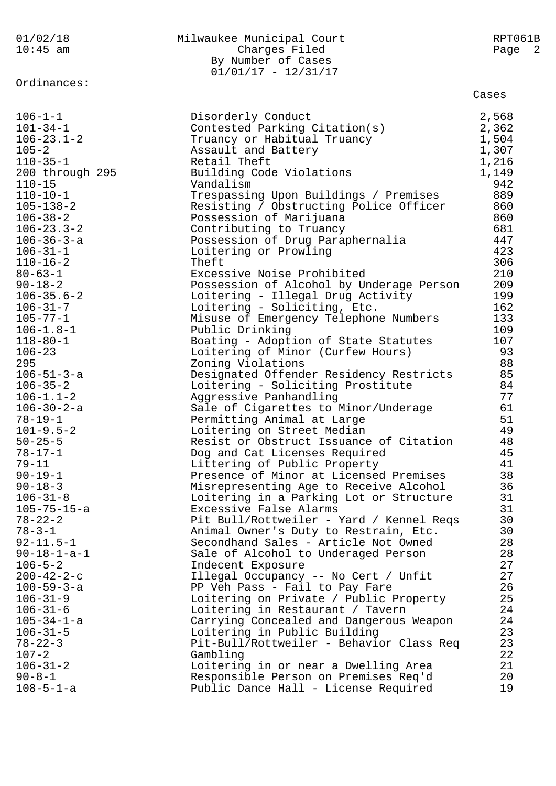| 01/02/18<br>$10:45$ am               | Milwaukee Municipal Court<br>Charges Filed<br>By Number of Cases<br>$01/01/17 - 12/31/17$ | RPT061B<br>Page 2 |  |
|--------------------------------------|-------------------------------------------------------------------------------------------|-------------------|--|
| Ordinances:                          |                                                                                           | Cases             |  |
| $106 - 1 - 1$                        | Disorderly Conduct                                                                        | 2,568             |  |
| $101 - 34 - 1$                       | Contested Parking Citation(s)                                                             | 2,362             |  |
| $106 - 23.1 - 2$                     | Truancy or Habitual Truancy                                                               | 1,504             |  |
| $105 - 2$                            | Assault and Battery                                                                       | 1,307             |  |
| $110 - 35 - 1$                       | Retail Theft                                                                              | 1,216             |  |
| 200 through 295                      | Building Code Violations                                                                  | 1,149             |  |
| $110 - 15$                           | Vandalism                                                                                 | 942<br>889        |  |
| $110 - 10 - 1$<br>$105 - 138 - 2$    | Trespassing Upon Buildings / Premises<br>Resisting / Obstructing Police Officer           | 860               |  |
| $106 - 38 - 2$                       | Possession of Marijuana                                                                   | 860               |  |
| $106 - 23.3 - 2$                     | Contributing to Truancy                                                                   | 681               |  |
| $106 - 36 - 3 - a$                   | Possession of Drug Paraphernalia                                                          | 447               |  |
| $106 - 31 - 1$                       | Loitering or Prowling                                                                     | 423               |  |
| $110 - 16 - 2$                       | Theft                                                                                     | 306               |  |
| $80 - 63 - 1$                        | Excessive Noise Prohibited                                                                | 210               |  |
| $90 - 18 - 2$                        | Possession of Alcohol by Underage Person                                                  | 209               |  |
| $106 - 35.6 - 2$                     | Loitering - Illegal Drug Activity                                                         | 199               |  |
| $106 - 31 - 7$                       | Loitering - Soliciting, Etc.                                                              | 162               |  |
| $105 - 77 - 1$                       | Misuse of Emergency Telephone Numbers                                                     | 133<br>109        |  |
| $106 - 1.8 - 1$<br>$118 - 80 - 1$    | Public Drinking<br>Boating - Adoption of State Statutes                                   | 107               |  |
| $106 - 23$                           | Loitering of Minor (Curfew Hours)                                                         | 93                |  |
| 295                                  | Zoning Violations                                                                         | 88                |  |
| $106 - 51 - 3 - a$                   | Designated Offender Residency Restricts                                                   | 85                |  |
| $106 - 35 - 2$                       | Loitering - Soliciting Prostitute                                                         | 84                |  |
| $106 - 1.1 - 2$                      | Aggressive Panhandling                                                                    | 77                |  |
| $106 - 30 - 2 - a$                   | Sale of Cigarettes to Minor/Underage                                                      | 61                |  |
| $78 - 19 - 1$                        | Permitting Animal at Large                                                                | 51                |  |
| $101 - 9.5 - 2$                      | Loitering on Street Median                                                                | 49                |  |
| $50 - 25 - 5$                        | Resist or Obstruct Issuance of Citation                                                   | 48                |  |
| $78 - 17 - 1$<br>$79 - 11$           | Dog and Cat Licenses Required<br>Littering of Public Property                             | 45<br>41          |  |
| $90 - 19 - 1$                        | Presence of Minor at Licensed Premises                                                    | 38                |  |
| $90 - 18 - 3$                        | Misrepresenting Age to Receive Alcohol                                                    | 36                |  |
| $106 - 31 - 8$                       | Loitering in a Parking Lot or Structure                                                   | 31                |  |
| $105 - 75 - 15 - a$                  | Excessive False Alarms                                                                    | 31                |  |
| $78 - 22 - 2$                        | Pit Bull/Rottweiler - Yard / Kennel Reqs                                                  | 30                |  |
| $78 - 3 - 1$                         | Animal Owner's Duty to Restrain, Etc.                                                     | 30                |  |
| $92 - 11.5 - 1$                      | Secondhand Sales - Article Not Owned                                                      | 28                |  |
| $90 - 18 - 1 - a - 1$                | Sale of Alcohol to Underaged Person                                                       | 28                |  |
| $106 - 5 - 2$                        | Indecent Exposure                                                                         | 27                |  |
| $200 - 42 - 2 - c$                   | Illegal Occupancy -- No Cert / Unfit                                                      | 27<br>26          |  |
| $100 - 59 - 3 - a$<br>$106 - 31 - 9$ | PP Veh Pass - Fail to Pay Fare<br>Loitering on Private / Public Property                  | 25                |  |
| $106 - 31 - 6$                       | Loitering in Restaurant / Tavern                                                          | 24                |  |
| $105 - 34 - 1 - a$                   | Carrying Concealed and Dangerous Weapon                                                   | 24                |  |
| $106 - 31 - 5$                       | Loitering in Public Building                                                              | 23                |  |
| $78 - 22 - 3$                        | Pit-Bull/Rottweiler - Behavior Class Req                                                  | 23                |  |
| $107 - 2$                            | Gambling                                                                                  | 22                |  |
| $106 - 31 - 2$                       | Loitering in or near a Dwelling Area                                                      | 21                |  |
| $90 - 8 - 1$                         | Responsible Person on Premises Req'd                                                      | 20                |  |
| $108 - 5 - 1 - a$                    | Public Dance Hall - License Required                                                      | 19                |  |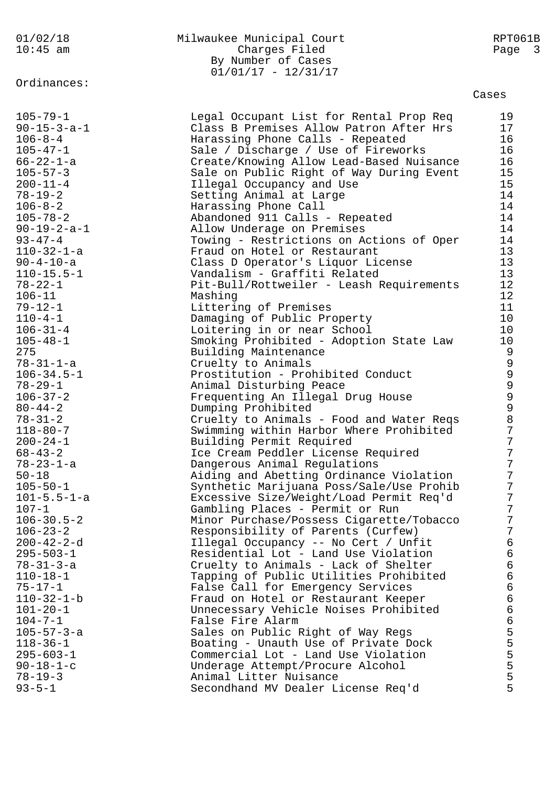# Ordinances:

# 01/02/18 Milwaukee Municipal Court RPT061B Charges Filed Page 3 By Number of Cases  $01/01/17 - 12/31/17$

| $105 - 79 - 1$                     | Legal Occupant List for Rental Prop Req                    | 19             |
|------------------------------------|------------------------------------------------------------|----------------|
| $90 - 15 - 3 - a - 1$              | Class B Premises Allow Patron After Hrs                    | 17             |
| $106 - 8 - 4$                      | Harassing Phone Calls - Repeated                           | 16             |
| $105 - 47 - 1$                     | Sale / Discharge / Use of Fireworks                        | 16             |
| 66-22-1-a                          | Create/Knowing Allow Lead-Based Nuisance                   | 16             |
| $105 - 57 - 3$                     | Sale on Public Right of Way During Event                   | 15             |
| $200 - 11 - 4$                     | Illegal Occupancy and Use                                  | 15             |
| $78 - 19 - 2$                      | Setting Animal at Large                                    | 14             |
| $106 - 8 - 2$                      | Harassing Phone Call                                       | 14             |
| $105 - 78 - 2$                     | Abandoned 911 Calls - Repeated                             | 14             |
| $90 - 19 - 2 - a - 1$              | Allow Underage on Premises                                 | 14             |
| $93 - 47 - 4$                      | Towing - Restrictions on Actions of Oper                   | 14             |
| $110 - 32 - 1 - a$                 | Fraud on Hotel or Restaurant                               | 13             |
| $90 - 4 - 10 - a$                  | Class D Operator's Liquor License                          | 13             |
| $110 - 15.5 - 1$                   | Vandalism - Graffiti Related                               | 13             |
| $78 - 22 - 1$                      | Pit-Bull/Rottweiler - Leash Requirements                   | 12             |
| $106 - 11$                         | Mashing                                                    | 12             |
| $79 - 12 - 1$                      | Littering of Premises                                      | 11             |
| $110 - 4 - 1$                      | Damaging of Public Property                                | 10             |
| $106 - 31 - 4$                     | Loitering in or near School                                | 10             |
| $105 - 48 - 1$                     | Smoking Prohibited - Adoption State Law                    | 10             |
| 275                                | Building Maintenance                                       | 9              |
| $78 - 31 - 1 - a$                  | Cruelty to Animals                                         |                |
| $106 - 34.5 - 1$                   | Prostitution - Prohibited Conduct                          |                |
| $78 - 29 - 1$                      | Animal Disturbing Peace                                    |                |
| $106 - 37 - 2$                     | Frequenting An Illegal Drug House                          | 99999          |
| $80 - 44 - 2$                      | Dumping Prohibited                                         |                |
| $78 - 31 - 2$                      | Cruelty to Animals - Food and Water Reqs                   | 8              |
| $118 - 80 - 7$                     | Swimming within Harbor Where Prohibited                    | $\overline{7}$ |
| $200 - 24 - 1$                     | Building Permit Required                                   | $\overline{7}$ |
| $68 - 43 - 2$                      | Ice Cream Peddler License Required                         | $\overline{7}$ |
| 78-23-1-a                          | Dangerous Animal Regulations                               | $\overline{7}$ |
| $50 - 18$                          | Aiding and Abetting Ordinance Violation                    | $\overline{7}$ |
| $105 - 50 - 1$                     | Synthetic Marijuana Poss/Sale/Use Prohib                   | 7              |
| $101 - 5.5 - 1 - a$                | Excessive Size/Weight/Load Permit Req'd                    | 7              |
| $107 - 1$                          | Gambling Places - Permit or Run                            | 7              |
| $106 - 30.5 - 2$                   | Minor Purchase/Possess Cigarette/Tobacco                   | 7              |
| $106 - 23 - 2$                     | Responsibility of Parents (Curfew)                         | 7              |
| $200 - 42 - 2 - d$                 | Illegal Occupancy -- No Cert / Unfit                       | 6              |
| $295 - 503 - 1$                    | Residential Lot - Land Use Violation                       | 6              |
| $78 - 31 - 3 - a$                  | Cruelty to Animals - Lack of Shelter                       | 6              |
| $110 - 18 - 1$                     | Tapping of Public Utilities Prohibited                     | 6              |
| $75 - 17 - 1$                      | False Call for Emergency Services                          | 6              |
| $110 - 32 - 1 - b$                 | Fraud on Hotel or Restaurant Keeper                        | 6              |
| $101 - 20 - 1$                     | Unnecessary Vehicle Noises Prohibited                      | 6              |
| $104 - 7 - 1$                      | False Fire Alarm                                           | 6              |
| $105 - 57 - 3 - a$                 | Sales on Public Right of Way Regs                          | 5              |
| $118 - 36 - 1$                     | Boating - Unauth Use of Private Dock                       | 5              |
| $295 - 603 - 1$                    | Commercial Lot - Land Use Violation                        | 5              |
| $90 - 18 - 1 - c$<br>$78 - 19 - 3$ | Underage Attempt/Procure Alcohol<br>Animal Litter Nuisance | 5<br>5         |
| $93 - 5 - 1$                       |                                                            | 5              |
|                                    | Secondhand MV Dealer License Req'd                         |                |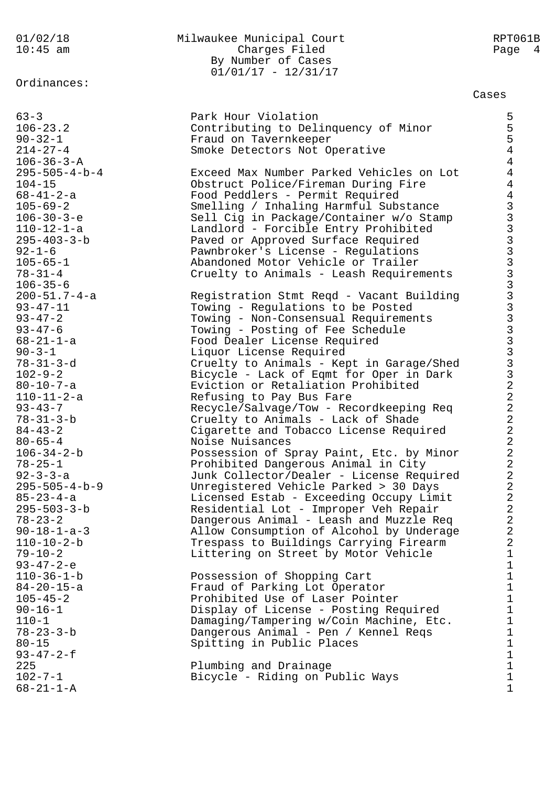Ordinances:

# $200 - 51.7 - 4 - a$ <br>93-47-11  $78 - 31 - 3 - b$ <br> $84 - 43 - 2$ 102-7-1 Bicycle - Riding on Public Ways 1<br>68-21-1-A 1  $68 - 21 - 1 - A$

# 01/02/18 Milwaukee Municipal Court RPT061B 10:45 am Charges Filed Page 4 By Number of Cases 01/01/17 - 12/31/17

| $63 - 3$                | Park Hour Violation                      | 5              |
|-------------------------|------------------------------------------|----------------|
| $106 - 23.2$            | Contributing to Delinquency of Minor     | 5              |
| $90 - 32 - 1$           | Fraud on Tavernkeeper                    | 5              |
| $214 - 27 - 4$          | Smoke Detectors Not Operative            | $\overline{4}$ |
|                         |                                          |                |
| $106 - 36 - 3 - A$      |                                          | $\overline{4}$ |
| $295 - 505 - 4 - b - 4$ | Exceed Max Number Parked Vehicles on Lot | $\overline{4}$ |
| $104 - 15$              | Obstruct Police/Fireman During Fire      | $\overline{4}$ |
| $68 - 41 - 2 - a$       | Food Peddlers - Permit Required          | $\overline{4}$ |
| $105 - 69 - 2$          | Smelling / Inhaling Harmful Substance    |                |
| $106 - 30 - 3 - e$      | Sell Cig in Package/Container w/o Stamp  |                |
|                         |                                          |                |
| $110 - 12 - 1 - a$      | Landlord - Forcible Entry Prohibited     |                |
| $295 - 403 - 3 - b$     | Paved or Approved Surface Required       |                |
| $92 - 1 - 6$            | Pawnbroker's License - Regulations       |                |
| $105 - 65 - 1$          | Abandoned Motor Vehicle or Trailer       |                |
| $78 - 31 - 4$           | Cruelty to Animals - Leash Requirements  |                |
| $106 - 35 - 6$          |                                          |                |
| $200 - 51.7 - 4 - a$    | Registration Stmt Reqd - Vacant Building |                |
|                         |                                          |                |
| $93 - 47 - 11$          | Towing - Regulations to be Posted        |                |
| $93 - 47 - 2$           | Towing - Non-Consensual Requirements     |                |
| $93 - 47 - 6$           | Towing - Posting of Fee Schedule         |                |
| $68 - 21 - 1 - a$       | Food Dealer License Required             |                |
| $90 - 3 - 1$            | Liquor License Required                  |                |
| $78 - 31 - 3 - d$       | Cruelty to Animals - Kept in Garage/Shed |                |
| $102 - 9 - 2$           | Bicycle - Lack of Eqmt for Oper in Dark  |                |
| $80 - 10 - 7 - a$       | Eviction or Retaliation Prohibited       |                |
|                         |                                          |                |
| $110 - 11 - 2 - a$      | Refusing to Pay Bus Fare                 | $\overline{2}$ |
| $93 - 43 - 7$           | Recycle/Salvage/Tow - Recordkeeping Req  | $\overline{a}$ |
| $78 - 31 - 3 - b$       | Cruelty to Animals - Lack of Shade       | $\overline{2}$ |
| $84 - 43 - 2$           | Cigarette and Tobacco License Required   | $\overline{2}$ |
| $80 - 65 - 4$           | Noise Nuisances                          | $\overline{2}$ |
| $106 - 34 - 2 - b$      | Possession of Spray Paint, Etc. by Minor | $\overline{2}$ |
| $78 - 25 - 1$           | Prohibited Dangerous Animal in City      | $\overline{2}$ |
| $92 - 3 - 3 - a$        | Junk Collector/Dealer - License Required | $\overline{2}$ |
| $295 - 505 - 4 - b - 9$ | Unregistered Vehicle Parked > 30 Days    | $\overline{2}$ |
| $85 - 23 - 4 - a$       |                                          | $\overline{2}$ |
|                         | Licensed Estab - Exceeding Occupy Limit  |                |
| $295 - 503 - 3 - b$     | Residential Lot - Improper Veh Repair    | $\overline{2}$ |
| $78 - 23 - 2$           | Dangerous Animal - Leash and Muzzle Req  | $\overline{2}$ |
| $90 - 18 - 1 - a - 3$   | Allow Consumption of Alcohol by Underage | $\sqrt{2}$     |
| $110 - 10 - 2 - b$      | Trespass to Buildings Carrying Firearm   | $\sqrt{2}$     |
| $79 - 10 - 2$           | Littering on Street by Motor Vehicle     | $1\,$          |
| $93 - 47 - 2 - e$       |                                          | $\mathbf 1$    |
| $110 - 36 - 1 - b$      | Possession of Shopping Cart              | $\mathbf 1$    |
| $84 - 20 - 15 - a$      | Fraud of Parking Lot Operator            | $\mathbf 1$    |
| $105 - 45 - 2$          |                                          | $\mathbf 1$    |
|                         | Prohibited Use of Laser Pointer          |                |
| $90 - 16 - 1$           | Display of License - Posting Required    | $\mathbf 1$    |
| $110 - 1$               | Damaging/Tampering w/Coin Machine, Etc.  | $\mathbf 1$    |
| $78 - 23 - 3 - b$       | Dangerous Animal - Pen / Kennel Reqs     | $\mathbf 1$    |
| $80 - 15$               | Spitting in Public Places                | $\mathbf 1$    |
| $93 - 47 - 2 - f$       |                                          | $1\,$          |
| 225                     | Plumbing and Drainage                    | $\mathbf{1}$   |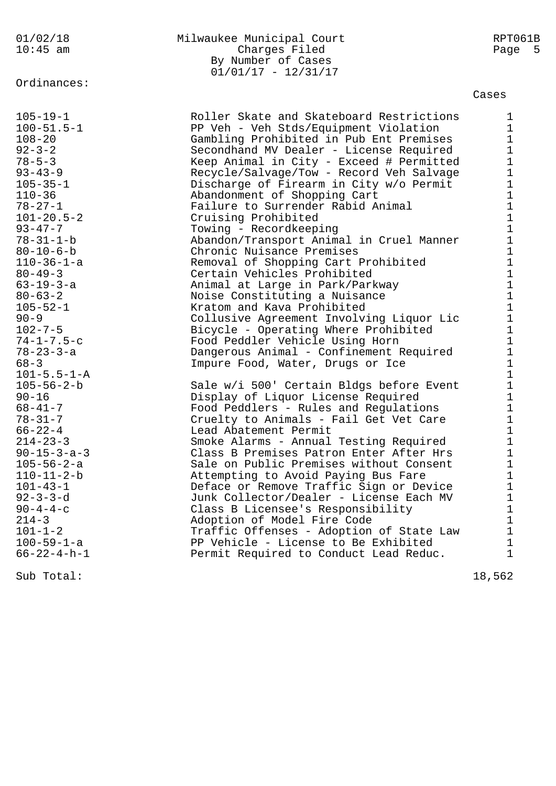Ordinances:

# 01/02/18 Milwaukee Municipal Court RPT061B Charges Filed By Number of Cases 01/01/17 - 12/31/17

# Cases

| $105 - 19 - 1$<br>$100 - 51.5 - 1$<br>$108 - 20$<br>$92 - 3 - 2$<br>$78 - 5 - 3$<br>$93 - 43 - 9$<br>$105 - 35 - 1$<br>$110 - 36$<br>$78 - 27 - 1$<br>$101 - 20.5 - 2$<br>$93 - 47 - 7$<br>$78 - 31 - 1 - b$<br>$80 - 10 - 6 - b$<br>$110 - 36 - 1 - a$<br>$80 - 49 - 3$<br>$63 - 19 - 3 - a$<br>$80 - 63 - 2$<br>$105 - 52 - 1$<br>$90 - 9$ | Roller Skate and Skateboard Restrictions<br>PP Veh - Veh Stds/Equipment Violation<br>Gambling Prohibited in Pub Ent Premises<br>Secondhand MV Dealer - License Required<br>Keep Animal in City - Exceed # Permitted<br>Recycle/Salvage/Tow - Record Veh Salvage<br>Discharge of Firearm in City w/o Permit<br>Abandonment of Shopping Cart<br>Failure to Surrender Rabid Animal<br>Cruising Prohibited<br>Towing - Recordkeeping<br>Abandon/Transport Animal in Cruel Manner<br>Chronic Nuisance Premises<br>Removal of Shopping Cart Prohibited<br>Certain Vehicles Prohibited<br>Animal at Large in Park/Parkway<br>Noise Constituting a Nuisance<br>Kratom and Kava Prohibited<br>Collusive Agreement Involving Liquor Lic | $\mathbf 1$<br>$\mathbf{1}$<br>$\mathbf 1$<br>$\mathbf 1$<br>$\mathbf 1$<br>$\mathbf 1$<br>$\begin{array}{c} 1 \\ 1 \end{array}$<br>$\begin{array}{c} 1 \\ 1 \\ 1 \end{array}$<br>$\begin{array}{c}\n1 \\ 1 \\ 1 \\ 1\n\end{array}$<br>$\begin{array}{c} 1 \\ 1 \\ 1 \\ 1 \end{array}$ |
|----------------------------------------------------------------------------------------------------------------------------------------------------------------------------------------------------------------------------------------------------------------------------------------------------------------------------------------------|-------------------------------------------------------------------------------------------------------------------------------------------------------------------------------------------------------------------------------------------------------------------------------------------------------------------------------------------------------------------------------------------------------------------------------------------------------------------------------------------------------------------------------------------------------------------------------------------------------------------------------------------------------------------------------------------------------------------------------|----------------------------------------------------------------------------------------------------------------------------------------------------------------------------------------------------------------------------------------------------------------------------------------|
| $102 - 7 - 5$                                                                                                                                                                                                                                                                                                                                | Bicycle - Operating Where Prohibited                                                                                                                                                                                                                                                                                                                                                                                                                                                                                                                                                                                                                                                                                          |                                                                                                                                                                                                                                                                                        |
| $74 - 1 - 7.5 - c$                                                                                                                                                                                                                                                                                                                           | Food Peddler Vehicle Using Horn                                                                                                                                                                                                                                                                                                                                                                                                                                                                                                                                                                                                                                                                                               | $\mathbf 1$                                                                                                                                                                                                                                                                            |
| $78 - 23 - 3 - a$<br>$68 - 3$                                                                                                                                                                                                                                                                                                                | Dangerous Animal - Confinement Required<br>Impure Food, Water, Drugs or Ice                                                                                                                                                                                                                                                                                                                                                                                                                                                                                                                                                                                                                                                   | $\mathbf 1$<br>$\mathbf 1$                                                                                                                                                                                                                                                             |
| $101 - 5.5 - 1 - A$                                                                                                                                                                                                                                                                                                                          |                                                                                                                                                                                                                                                                                                                                                                                                                                                                                                                                                                                                                                                                                                                               | $\mathbf{1}$                                                                                                                                                                                                                                                                           |
| $105 - 56 - 2 - b$                                                                                                                                                                                                                                                                                                                           | Sale w/i 500' Certain Bldgs before Event                                                                                                                                                                                                                                                                                                                                                                                                                                                                                                                                                                                                                                                                                      | $\mathbf 1$                                                                                                                                                                                                                                                                            |
| $90 - 16$                                                                                                                                                                                                                                                                                                                                    | Display of Liquor License Required                                                                                                                                                                                                                                                                                                                                                                                                                                                                                                                                                                                                                                                                                            | $1\,$                                                                                                                                                                                                                                                                                  |
| $68 - 41 - 7$                                                                                                                                                                                                                                                                                                                                | Food Peddlers - Rules and Regulations                                                                                                                                                                                                                                                                                                                                                                                                                                                                                                                                                                                                                                                                                         | $\mathbf{1}$                                                                                                                                                                                                                                                                           |
| $78 - 31 - 7$                                                                                                                                                                                                                                                                                                                                | Cruelty to Animals - Fail Get Vet Care                                                                                                                                                                                                                                                                                                                                                                                                                                                                                                                                                                                                                                                                                        | $1\,$                                                                                                                                                                                                                                                                                  |
| $66 - 22 - 4$                                                                                                                                                                                                                                                                                                                                | Lead Abatement Permit                                                                                                                                                                                                                                                                                                                                                                                                                                                                                                                                                                                                                                                                                                         | $\mathbf 1$                                                                                                                                                                                                                                                                            |
| $214 - 23 - 3$                                                                                                                                                                                                                                                                                                                               | Smoke Alarms - Annual Testing Required                                                                                                                                                                                                                                                                                                                                                                                                                                                                                                                                                                                                                                                                                        | $\frac{1}{1}$                                                                                                                                                                                                                                                                          |
| $90 - 15 - 3 - a - 3$                                                                                                                                                                                                                                                                                                                        | Class B Premises Patron Enter After Hrs                                                                                                                                                                                                                                                                                                                                                                                                                                                                                                                                                                                                                                                                                       | $\mathbf 1$                                                                                                                                                                                                                                                                            |
| $105 - 56 - 2 - a$                                                                                                                                                                                                                                                                                                                           | Sale on Public Premises without Consent                                                                                                                                                                                                                                                                                                                                                                                                                                                                                                                                                                                                                                                                                       | $\mathbf 1$                                                                                                                                                                                                                                                                            |
| $110 - 11 - 2 - b$                                                                                                                                                                                                                                                                                                                           | Attempting to Avoid Paying Bus Fare                                                                                                                                                                                                                                                                                                                                                                                                                                                                                                                                                                                                                                                                                           | $\mathbf 1$                                                                                                                                                                                                                                                                            |
| $101 - 43 - 1$                                                                                                                                                                                                                                                                                                                               | Deface or Remove Traffic Sign or Device                                                                                                                                                                                                                                                                                                                                                                                                                                                                                                                                                                                                                                                                                       | $\mathbf 1$                                                                                                                                                                                                                                                                            |
| $92 - 3 - 3 - d$                                                                                                                                                                                                                                                                                                                             | Junk Collector/Dealer - License Each MV                                                                                                                                                                                                                                                                                                                                                                                                                                                                                                                                                                                                                                                                                       | $\begin{array}{c} 1 \\ 1 \end{array}$                                                                                                                                                                                                                                                  |
| $90 - 4 - 4 - c$<br>$214 - 3$                                                                                                                                                                                                                                                                                                                | Class B Licensee's Responsibility                                                                                                                                                                                                                                                                                                                                                                                                                                                                                                                                                                                                                                                                                             |                                                                                                                                                                                                                                                                                        |
| $101 - 1 - 2$                                                                                                                                                                                                                                                                                                                                | Adoption of Model Fire Code<br>Traffic Offenses - Adoption of State Law                                                                                                                                                                                                                                                                                                                                                                                                                                                                                                                                                                                                                                                       | $\frac{1}{1}$                                                                                                                                                                                                                                                                          |
| $100 - 59 - 1 - a$                                                                                                                                                                                                                                                                                                                           | PP Vehicle - License to Be Exhibited                                                                                                                                                                                                                                                                                                                                                                                                                                                                                                                                                                                                                                                                                          | $1\,$                                                                                                                                                                                                                                                                                  |
| $66 - 22 - 4 - h - 1$                                                                                                                                                                                                                                                                                                                        | Permit Required to Conduct Lead Reduc.                                                                                                                                                                                                                                                                                                                                                                                                                                                                                                                                                                                                                                                                                        | $\mathbf{1}$                                                                                                                                                                                                                                                                           |
|                                                                                                                                                                                                                                                                                                                                              |                                                                                                                                                                                                                                                                                                                                                                                                                                                                                                                                                                                                                                                                                                                               |                                                                                                                                                                                                                                                                                        |
|                                                                                                                                                                                                                                                                                                                                              |                                                                                                                                                                                                                                                                                                                                                                                                                                                                                                                                                                                                                                                                                                                               |                                                                                                                                                                                                                                                                                        |

Sub Total: 18,562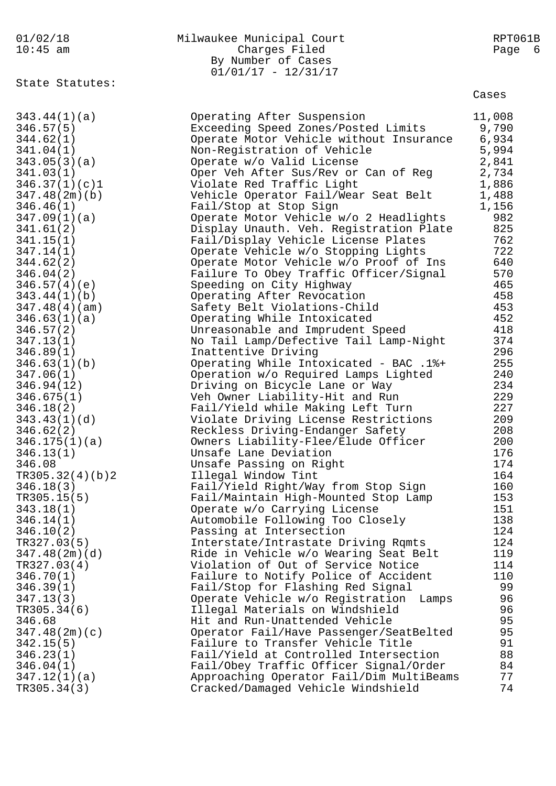| 01/02/18<br>$10:45$ am | Milwaukee Municipal Court<br>Charges Filed  | RPT061B<br>Page<br>- 6 |
|------------------------|---------------------------------------------|------------------------|
|                        | By Number of Cases<br>$01/01/17 - 12/31/17$ |                        |
| State Statutes:        |                                             | Cases                  |
| 343.44(1)(a)           | Operating After Suspension                  | 11,008                 |
| 346.57(5)              | Exceeding Speed Zones/Posted Limits         | 9,790                  |
| 344.62(1)              | Operate Motor Vehicle without Insurance     | 6,934                  |
| 341.04(1)              | Non-Registration of Vehicle                 | 5,994                  |
| 343.05(3)(a)           | Operate w/o Valid License                   | 2,841                  |
| 341.03(1)              | Oper Veh After Sus/Rev or Can of Reg        | 2,734                  |
| 346.37(1)(c)1          | Violate Red Traffic Light                   | 1,886                  |
| 347.48(2m)(b)          | Vehicle Operator Fail/Wear Seat Belt        | 1,488                  |
| 346.46(1)              | Fail/Stop at Stop Sign                      | 1,156                  |
| 347.09(1)(a)           | Operate Motor Vehicle w/o 2 Headlights      | 982                    |
| 341.61(2)              | Display Unauth. Veh. Registration Plate     | 825                    |
| 341.15(1)              | Fail/Display Vehicle License Plates         | 762                    |
| 347.14(1)              | Operate Vehicle w/o Stopping Lights         | 722                    |
| 344.62(2)              | Operate Motor Vehicle w/o Proof of Ins      | 640                    |
| 346.04(2)              | Failure To Obey Traffic Officer/Signal      | 570                    |
| 346.57(4)(e)           | Speeding on City Highway                    | 465                    |
| 343.44(1)(b)           | Operating After Revocation                  | 458                    |
| 347.48(4)(am)          | Safety Belt Violations-Child                | 453                    |
| 346.63(1)(a)           | Operating While Intoxicated                 | 452                    |
| 346.57(2)              | Unreasonable and Imprudent Speed            | 418                    |
| 347.13(1)              | No Tail Lamp/Defective Tail Lamp-Night      | 374                    |
| 346.89(1)              | Inattentive Driving                         | 296                    |
| 346.63(1)(b)           | Operating While Intoxicated - BAC .1%+      | 255                    |
| 347.06(1)              | Operation w/o Required Lamps Lighted        | 240                    |
| 346.94(12)             | Driving on Bicycle Lane or Way              | 234                    |
| 346.675(1)             | Veh Owner Liability-Hit and Run             | 229                    |
| 346.18(2)              | Fail/Yield while Making Left Turn           | 227                    |
| 343.43(1)(d)           | Violate Driving License Restrictions        | 209                    |
| 346.62(2)              | Reckless Driving-Endanger Safety            | 208                    |
| 346.175(1)(a)          | Owners Liability-Flee/Elude Officer         | 200                    |
| 346.13(1)              | Unsafe Lane Deviation                       | 176                    |
| 346.08                 | Unsafe Passing on Right                     | 174                    |
| TR305.32(4)(b)2        | Illegal Window Tint                         | 164                    |
| 346.18(3)              | Fail/Yield Right/Way from Stop Sign         | 160                    |
| TR305.15(5)            | Fail/Maintain High-Mounted Stop Lamp        | 153                    |
| 343.18(1)              | Operate w/o Carrying License                | 151                    |
| 346.14(1)              | Automobile Following Too Closely            | 138                    |
| 346.10(2)              | Passing at Intersection                     | 124                    |
| TR327.03(5)            | Interstate/Intrastate Driving Rqmts         | 124                    |
| 347.48(2m)(d)          | Ride in Vehicle w/o Wearing Seat Belt       | 119                    |
| TR327.03(4)            | Violation of Out of Service Notice          | 114                    |
| 346.70(1)              | Failure to Notify Police of Accident        | 110                    |
| 346.39(1)              | Fail/Stop for Flashing Red Signal           | 99                     |
| 347.13(3)              | Operate Vehicle w/o Registration<br>Lamps   | 96                     |
| TR305.34(6)            | Illegal Materials on Windshield             | 96                     |
| 346.68                 | Hit and Run-Unattended Vehicle              | 95                     |
| 347.48(2m)(c)          | Operator Fail/Have Passenger/SeatBelted     | 95                     |
| 342.15(5)              | Failure to Transfer Vehicle Title           | 91                     |
| 346.23(1)              | Fail/Yield at Controlled Intersection       | 88                     |
| 346.04(1)              | Fail/Obey Traffic Officer Signal/Order      | 84                     |
| 347.12(1)(a)           | Approaching Operator Fail/Dim MultiBeams    | 77                     |
| TR305.34(3)            | Cracked/Damaged Vehicle Windshield          | 74                     |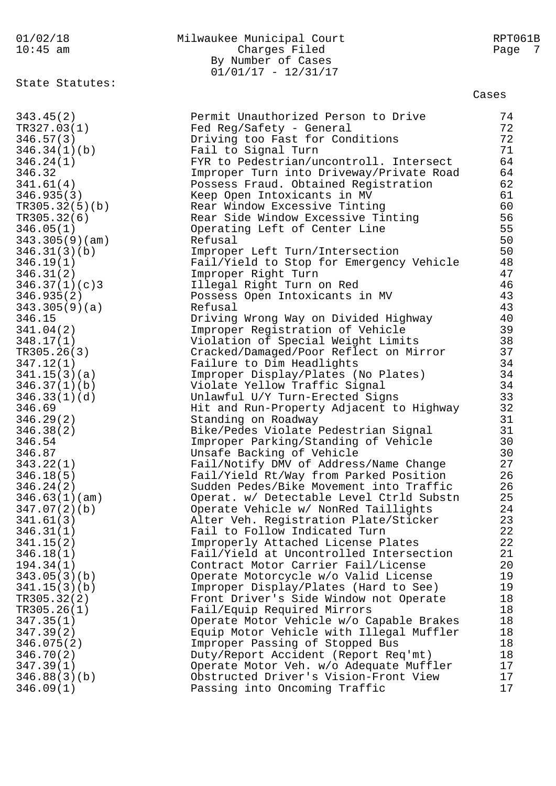| 01/02/18<br>$10:45$ am      | Milwaukee Municipal Court<br>Charges Filed<br>By Number of Cases<br>$01/01/17 - 12/31/17$ | RPT061B<br>Page<br>-7 |
|-----------------------------|-------------------------------------------------------------------------------------------|-----------------------|
| State Statutes:             |                                                                                           | Cases                 |
| 343.45(2)                   | Permit Unauthorized Person to Drive                                                       | 74                    |
| TR327.03(1)                 | Fed Reg/Safety - General                                                                  | 72                    |
| 346.57(3)                   | Driving too Fast for Conditions                                                           | 72                    |
| 346.34(1)(b)                | Fail to Signal Turn                                                                       | 71                    |
| 346.24(1)                   | FYR to Pedestrian/uncontroll. Intersect                                                   | 64                    |
| 346.32                      | Improper Turn into Driveway/Private Road                                                  | 64                    |
| 341.61(4)                   | Possess Fraud. Obtained Registration                                                      | 62                    |
| 346.935(3)                  | Keep Open Intoxicants in MV                                                               | 61                    |
| TR305.32(5)(b)              | Rear Window Excessive Tinting                                                             | 60                    |
| TR305.32(6)                 | Rear Side Window Excessive Tinting                                                        | 56                    |
| 346.05(1)                   | Operating Left of Center Line                                                             | 55                    |
| 343.305(9)(am)              | Refusal                                                                                   | 50                    |
| 346.31(3)(b)                | Improper Left Turn/Intersection                                                           | 50                    |
| 346.19(1)                   | Fail/Yield to Stop for Emergency Vehicle                                                  | 48                    |
| 346.31(2)<br>346.37(1)(c)3  | Improper Right Turn                                                                       | 47                    |
|                             | Illegal Right Turn on Red<br>Possess Open Intoxicants in MV                               | 46<br>43              |
| 346.935(2)<br>343.305(9)(a) | Refusal                                                                                   | 43                    |
| 346.15                      | Driving Wrong Way on Divided Highway                                                      | 40                    |
| 341.04(2)                   | Improper Registration of Vehicle                                                          | 39                    |
| 348.17(1)                   | Violation of Special Weight Limits                                                        | 38                    |
| TR305.26(3)                 | Cracked/Damaged/Poor Reflect on Mirror                                                    | 37                    |
| 347.12(1)                   | Failure to Dim Headlights                                                                 | 34                    |
| 341.15(3)(a)                | Improper Display/Plates (No Plates)                                                       | 34                    |
| 346.37(1)(b)                | Violate Yellow Traffic Signal                                                             | 34                    |
| 346.33(1)(d)                | Unlawful U/Y Turn-Erected Signs                                                           | 33                    |
| 346.69                      | Hit and Run-Property Adjacent to Highway                                                  | 32                    |
| 346.29(2)                   | Standing on Roadway                                                                       | 31                    |
| 346.38(2)                   | Bike/Pedes Violate Pedestrian Signal                                                      | 31                    |
| 346.54                      | Improper Parking/Standing of Vehicle                                                      | 30                    |
| 346.87                      | Unsafe Backing of Vehicle                                                                 | 30                    |
| 343.22(1)                   | Fail/Notify DMV of Address/Name Change                                                    | 27                    |
| 346.18(5)                   | Fail/Yield Rt/Way from Parked Position                                                    | 26                    |
| 346.24(2)                   | Sudden Pedes/Bike Movement into Traffic                                                   | 26                    |
| 346.63(1)(am)               | Operat. w/ Detectable Level Ctrld Substn                                                  | 25                    |
| 347.07(2)(b)<br>341.61(3)   | Operate Vehicle w/ NonRed Taillights<br>Alter Veh. Registration Plate/Sticker             | 24<br>23              |
| 346.31(1)                   | Fail to Follow Indicated Turn                                                             | 22                    |
| 341.15(2)                   | Improperly Attached License Plates                                                        | 22                    |
| 346.18(1)                   | Fail/Yield at Uncontrolled Intersection                                                   | 21                    |
| 194.34(1)                   | Contract Motor Carrier Fail/License                                                       | 20                    |
| 343.05(3)(b)                | Operate Motorcycle w/o Valid License                                                      | 19                    |
| 341.15(3)(b)                | Improper Display/Plates (Hard to See)                                                     | 19                    |
| TR305.32(2)                 | Front Driver's Side Window not Operate                                                    | 18                    |
| TR305.26(1)                 | Fail/Equip Required Mirrors                                                               | 18                    |
| 347.35(1)                   | Operate Motor Vehicle w/o Capable Brakes                                                  | 18                    |
| 347.39(2)                   | Equip Motor Vehicle with Illegal Muffler                                                  | 18                    |
| 346.075(2)                  | Improper Passing of Stopped Bus                                                           | 18                    |
| 346.70(2)                   | Duty/Report Accident (Report Req'mt)                                                      | 18                    |
| 347.39(1)                   | Operate Motor Veh. w/o Adequate Muffler                                                   | 17                    |
| 346.88(3)(b)                | Obstructed Driver's Vision-Front View                                                     | 17                    |
| 346.09(1)                   | Passing into Oncoming Traffic                                                             | 17                    |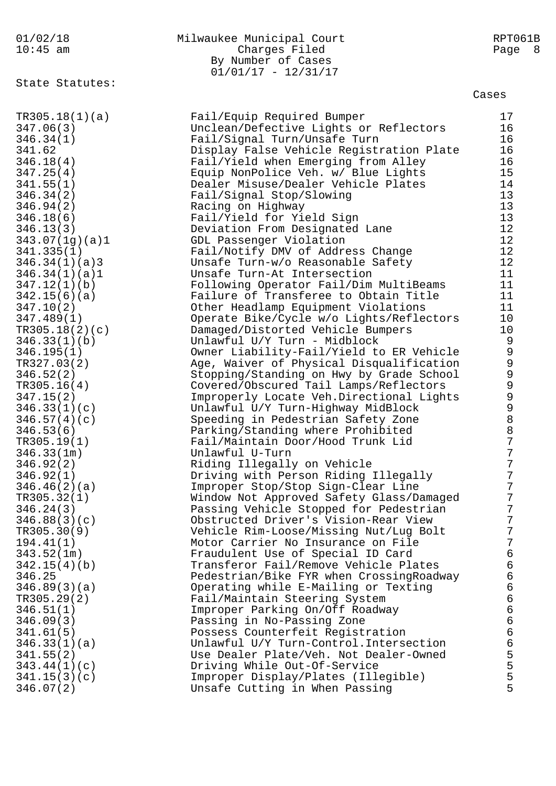# 01/02/18 Milwaukee Municipal Court RPT061B 10:45 am Charges Filed Page 8 By Number of Cases 01/01/17 - 12/31/17

State Statutes:

| TR305.18(1)(a) | Fail/Equip Required Bumper                | 17             |
|----------------|-------------------------------------------|----------------|
| 347.06(3)      | Unclean/Defective Lights or Reflectors    | 16             |
| 346.34(1)      | Fail/Signal Turn/Unsafe Turn              | 16             |
| 341.62         | Display False Vehicle Registration Plate  | 16             |
| 346.18(4)      | Fail/Yield when Emerging from Alley       | 16             |
| 347.25(4)      | Equip NonPolice Veh. w/ Blue Lights       | 15             |
| 341.55(1)      | Dealer Misuse/Dealer Vehicle Plates       | 14             |
| 346.34(2)      | Fail/Signal Stop/Slowing                  | 13             |
| 346.94(2)      | Racing on Highway                         | 13             |
| 346.18(6)      | Fail/Yield for Yield Sign                 | 13             |
| 346.13(3)      | Deviation From Designated Lane            | 12             |
| 343.07(1g)(a)1 | GDL Passenger Violation                   | 12             |
| 341.335(1)     |                                           | 12             |
|                | Fail/Notify DMV of Address Change         |                |
| 346.34(1)(a)3  | Unsafe Turn-w/o Reasonable Safety         | 12             |
| 346.34(1)(a)1  | Unsafe Turn-At Intersection               | 11             |
| 347.12(1)(b)   | Following Operator Fail/Dim MultiBeams    | 11             |
| 342.15(6)(a)   | Failure of Transferee to Obtain Title     | 11             |
| 347.10(2)      | Other Headlamp Equipment Violations       | 11             |
| 347.489(1)     | Operate Bike/Cycle w/o Lights/Reflectors  | 10             |
| TR305.18(2)(c) | Damaged/Distorted Vehicle Bumpers         | 10             |
| 346.33(1)(b)   | Unlawful U/Y Turn - Midblock              | $\mathsf 9$    |
| 346.195(1)     | Owner Liability-Fail/Yield to ER Vehicle  | $\mathsf 9$    |
| TR327.03(2)    | Age, Waiver of Physical Disqualification  | $\mathsf 9$    |
| 346.52(2)      | Stopping/Standing on Hwy by Grade School  | $\mathsf 9$    |
| TR305.16(4)    | Covered/Obscured Tail Lamps/Reflectors    | $\mathsf 9$    |
| 347.15(2)      | Improperly Locate Veh. Directional Lights | $\mathsf 9$    |
| 346.33(1)(c)   | Unlawful U/Y Turn-Highway MidBlock        | $\mathsf 9$    |
| 346.57(4)(c)   | Speeding in Pedestrian Safety Zone        | 8              |
| 346.53(6)      | Parking/Standing where Prohibited         | $\,8\,$        |
| TR305.19(1)    | Fail/Maintain Door/Hood Trunk Lid         | $\overline{7}$ |
| 346.33(1m)     | Unlawful U-Turn                           | $\overline{7}$ |
| 346.92(2)      | Riding Illegally on Vehicle               | $\overline{7}$ |
| 346.92(1)      | Driving with Person Riding Illegally      | 7              |
| 346.46(2)(a)   | Improper Stop/Stop Sign-Clear Line        | 7              |
| TR305.32(1)    | Window Not Approved Safety Glass/Damaged  | 7              |
| 346.24(3)      | Passing Vehicle Stopped for Pedestrian    | 7              |
| 346.88(3)(c)   | Obstructed Driver's Vision-Rear View      | 7              |
| TR305.30(9)    | Vehicle Rim-Loose/Missing Nut/Lug Bolt    | 7              |
| 194.41(1)      | Motor Carrier No Insurance on File        | 7              |
| 343.52(1m)     | Fraudulent Use of Special ID Card         | $\epsilon$     |
| 342.15(4)(b)   | Transferor Fail/Remove Vehicle Plates     | $\epsilon$     |
| 346.25         | Pedestrian/Bike FYR when CrossingRoadway  | $\epsilon$     |
| 346.89(3)(a)   | Operating while E-Mailing or Texting      | $\epsilon$     |
| TR305.29(2)    | Fail/Maintain Steering System             | $\epsilon$     |
| 346.51(1)      | Improper Parking On/Off Roadway           | $\epsilon$     |
| 346.09(3)      | Passing in No-Passing Zone                | $\epsilon$     |
| 341.61(5)      | Possess Counterfeit Registration          | $\epsilon$     |
| 346.33(1)(a)   | Unlawful U/Y Turn-Control. Intersection   | $\epsilon$     |
| 341.55(2)      | Use Dealer Plate/Veh. Not Dealer-Owned    | 5              |
|                | Driving While Out-Of-Service              | 5              |
| 343.44(1)(c)   |                                           | 5              |
| 341.15(3)(c)   | Improper Display/Plates (Illegible)       | 5              |
| 346.07(2)      | Unsafe Cutting in When Passing            |                |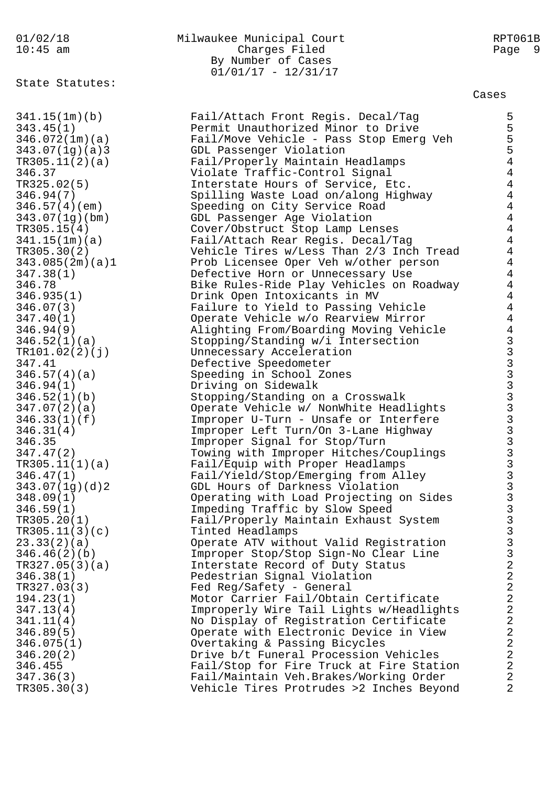State Statutes:

# 01/02/18 Milwaukee Municipal Court RPT061B 10:45 am Charges Filed Page 9 By Number of Cases  $01/01/17 - 12/31/17$

| 341.15(1m)(b)   | Fail/Attach Front Regis. Decal/Tag       | 5                                                                 |
|-----------------|------------------------------------------|-------------------------------------------------------------------|
| 343.45(1)       | Permit Unauthorized Minor to Drive       | 5                                                                 |
| 346.072(1m)(a)  | Fail/Move Vehicle - Pass Stop Emerg Veh  | 5                                                                 |
| 343.07(1g)(a)3  | GDL Passenger Violation                  | 5                                                                 |
| TR305.11(2)(a)  | Fail/Properly Maintain Headlamps         | $\overline{4}$                                                    |
| 346.37          | Violate Traffic-Control Signal           | $\overline{4}$                                                    |
| TR325.02(5)     | Interstate Hours of Service, Etc.        | $\overline{4}$                                                    |
| 346.94(7)       | Spilling Waste Load on/along Highway     | $\overline{4}$                                                    |
| 346.57(4)(em)   | Speeding on City Service Road            | $\overline{4}$                                                    |
| 343.07(1q)(bm)  | GDL Passenger Age Violation              | $\overline{4}$                                                    |
| TR305.15(4)     | Cover/Obstruct Stop Lamp Lenses          | $\overline{4}$                                                    |
| 341.15(1m)(a)   |                                          | $\overline{4}$                                                    |
|                 | Fail/Attach Rear Regis. Decal/Tag        | $\overline{4}$                                                    |
| TR305.30(2)     | Vehicle Tires w/Less Than 2/3 Inch Tread | $\overline{4}$                                                    |
| 343.085(2m)(a)1 | Prob Licensee Oper Veh w/other person    | $\overline{4}$                                                    |
| 347.38(1)       | Defective Horn or Unnecessary Use        |                                                                   |
| 346.78          | Bike Rules-Ride Play Vehicles on Roadway | $\overline{4}$                                                    |
| 346.935(1)      | Drink Open Intoxicants in MV             | $\overline{4}$                                                    |
| 346.07(3)       | Failure to Yield to Passing Vehicle      | $\overline{4}$                                                    |
| 347.40(1)       | Operate Vehicle w/o Rearview Mirror      | $\overline{4}$                                                    |
| 346.94(9)       | Alighting From/Boarding Moving Vehicle   | $\overline{4}$                                                    |
| 346.52(1)(a)    | Stopping/Standing w/i Intersection       |                                                                   |
| TR101.02(2)(j)  | Unnecessary Acceleration                 |                                                                   |
| 347.41          | Defective Speedometer                    |                                                                   |
| 346.57(4)(a)    | Speeding in School Zones                 |                                                                   |
| 346.94(1)       | Driving on Sidewalk                      | a<br>a<br>a<br>a<br>a<br>a<br>a<br>a<br>a<br>a<br>a<br>a<br>a<br> |
| 346.52(1)(b)    | Stopping/Standing on a Crosswalk         |                                                                   |
| 347.07(2)(a)    | Operate Vehicle w/ NonWhite Headlights   |                                                                   |
| 346.33(1)(f)    | Improper U-Turn - Unsafe or Interfere    |                                                                   |
| 346.31(4)       | Improper Left Turn/On 3-Lane Highway     |                                                                   |
| 346.35          | Improper Signal for Stop/Turn            |                                                                   |
| 347.47(2)       | Towing with Improper Hitches/Couplings   |                                                                   |
| TR305.11(1)(a)  | Fail/Equip with Proper Headlamps         |                                                                   |
| 346.47(1)       | Fail/Yield/Stop/Emerging from Alley      |                                                                   |
| 343.07(1g)(d)2  | GDL Hours of Darkness Violation          |                                                                   |
| 348.09(1)       | Operating with Load Projecting on Sides  |                                                                   |
| 346.59(1)       | Impeding Traffic by Slow Speed           |                                                                   |
| TR305.20(1)     | Fail/Properly Maintain Exhaust System    | $\overline{3}$                                                    |
| TR305.11(3)(c)  | Tinted Headlamps                         | $\mathbf{3}$                                                      |
| 23.33(2)(a)     | Operate ATV without Valid Registration   | $\begin{array}{c} 3 \\ 3 \\ 2 \end{array}$                        |
| 346.46(2)(b)    | Improper Stop/Stop Sign-No Clear Line    |                                                                   |
| TR327.05(3)(a)  | Interstate Record of Duty Status         |                                                                   |
| 346.38(1)       | Pedestrian Signal Violation              | $\overline{a}$                                                    |
| TR327.03(3)     | Fed Reg/Safety - General                 | $\overline{a}$                                                    |
| 194.23(1)       | Motor Carrier Fail/Obtain Certificate    | $\overline{a}$                                                    |
| 347.13(4)       | Improperly Wire Tail Lights w/Headlights |                                                                   |
| 341.11(4)       | No Display of Registration Certificate   |                                                                   |
| 346.89(5)       | Operate with Electronic Device in View   | $\begin{array}{c}\n2 \\ 2 \\ 2\n\end{array}$                      |
| 346.075(1)      | Overtaking & Passing Bicycles            |                                                                   |
| 346.20(2)       | Drive b/t Funeral Procession Vehicles    | $\overline{2}$                                                    |
| 346.455         | Fail/Stop for Fire Truck at Fire Station | $\overline{a}$                                                    |
| 347.36(3)       | Fail/Maintain Veh.Brakes/Working Order   | $\overline{2}$                                                    |
| TR305.30(3)     | Vehicle Tires Protrudes >2 Inches Beyond | $\overline{2}$                                                    |
|                 |                                          |                                                                   |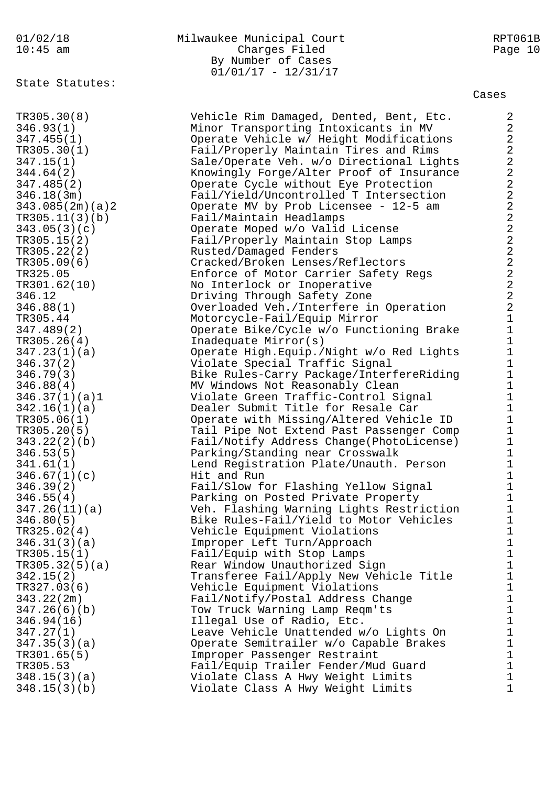State Statutes:

# 01/02/18 Milwaukee Municipal Court RPT061B 10:45 am Charges Filed Page 10 By Number of Cases 01/01/17 - 12/31/17

Cases

TR305.30(8) Vehicle Rim Damaged, Dented, Bent, Etc. 2 346.93(1) Minor Transporting Intoxicants in MV 2 347.455(1) Operate Vehicle w/ Height Modifications 2 TR305.30(1) Fail/Properly Maintain Tires and Rims 2 347.15(1) Sale/Operate Veh. w/o Directional Lights 2 344.64(2) Knowingly Forge/Alter Proof of Insurance 2 347.485(2) Operate Cycle without Eye Protection 2 346.18(3m) Fail/Yield/Uncontrolled T Intersection 2 343.085(2m)(a)2 Operate MV by Prob Licensee - 12-5 am 2 TR305.11(3)(b) Fail/Maintain Headlamps 2 343.05(3)(c) Operate Moped w/o Valid License 2 TR305.15(2) Fail/Properly Maintain Stop Lamps 2 TR305.22(2) Rusted/Damaged Fenders 2 TR305.09(6) Cracked/Broken Lenses/Reflectors 2 TR325.05 Enforce of Motor Carrier Safety Regs 2 TR301.62(10) No Interlock or Inoperative 2 346.12 Driving Through Safety Zone 2 346.88(1) Overloaded Veh./Interfere in Operation 2 TR305.44 Motorcycle-Fail/Equip Mirror 1 347.489(2) Operate Bike/Cycle w/o Functioning Brake 1 TR305.26(4) Inadequate Mirror(s) 1 347.23(1)(a) Operate High.Equip./Night w/o Red Lights 1 346.37(2) Violate Special Traffic Signal 1 346.79(3) Bike Rules-Carry Package/InterfereRiding 1 346.88(4) MV Windows Not Reasonably Clean 1 346.37(1)(a)1 Violate Green Traffic-Control Signal 1 342.16(1)(a) Dealer Submit Title for Resale Car 1 TR305.06(1) Operate with Missing/Altered Vehicle ID 1 TR305.20(5) Tail Pipe Not Extend Past Passenger Comp 1 343.22(2)(b) Fail/Notify Address Change(PhotoLicense) 1 346.53(5) Parking/Standing near Crosswalk 1 341.61(1) Lend Registration Plate/Unauth. Person 1  $346.67(1)(c)$  Hit and Run 1 346.39(2) Fail/Slow for Flashing Yellow Signal 1 346.55(4) Parking on Posted Private Property 1 347.26(11)(a) Veh. Flashing Warning Lights Restriction 1 346.80(5) Bike Rules-Fail/Yield to Motor Vehicles 1 TR325.02(4) Vehicle Equipment Violations 1 346.31(3)(a) Improper Left Turn/Approach 1 TR305.15(1) Fail/Equip with Stop Lamps 1 TR305.32(5)(a) Rear Window Unauthorized Sign 1 342.15(2) Transferee Fail/Apply New Vehicle Title 1 TR327.03(6) Vehicle Equipment Violations 1 343.22(2m) Fail/Notify/Postal Address Change 1 347.26(6)(b) Tow Truck Warning Lamp Reqm'ts 1 346.94(16) Illegal Use of Radio, Etc. 1 347.27(1) Leave Vehicle Unattended w/o Lights On 1 347.35(3)(a) Operate Semitrailer w/o Capable Brakes 1 TR301.65(5) The Improper Passenger Restraint 1 TR305.53 Fail/Equip Trailer Fender/Mud Guard 1 348.15(3)(a) Violate Class A Hwy Weight Limits 1 348.15(3)(b) Violate Class A Hwy Weight Limits 1